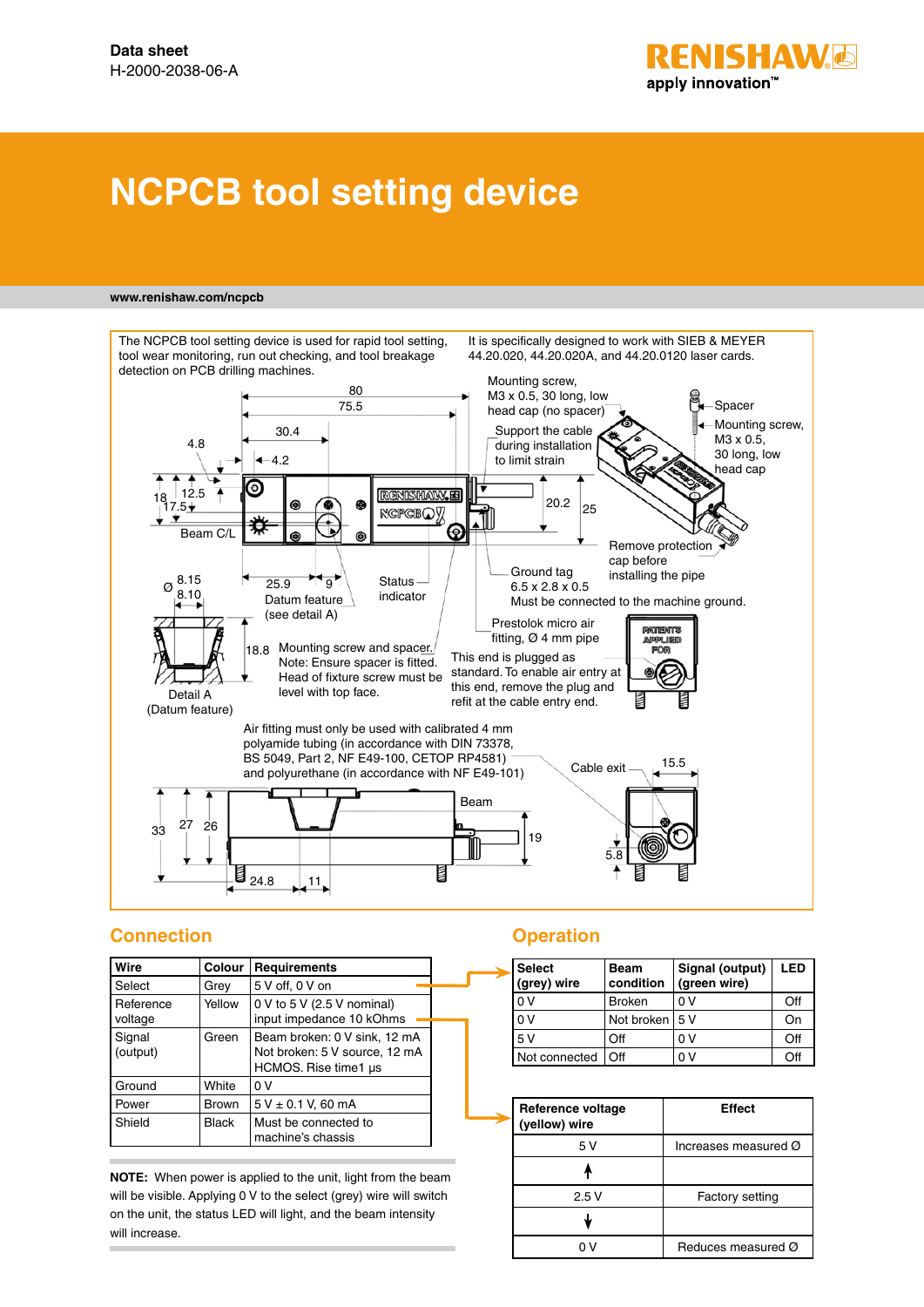

# **NCPCB tool setting device**

#### **www.renishaw.com/ncpcb**



# **Connection**

| Wire                 | <b>Colour</b> | <b>Requirements</b>                                                                   |  |
|----------------------|---------------|---------------------------------------------------------------------------------------|--|
| Select               | Grev          | 5 V off, 0 V on                                                                       |  |
| Reference<br>voltage | Yellow        | 0 V to 5 V (2.5 V nominal)<br>input impedance 10 kOhms                                |  |
| Signal<br>(output)   | Green         | Beam broken: 0 V sink, 12 mA<br>Not broken: 5 V source, 12 mA<br>HCMOS. Rise time1 us |  |
| Ground               | White         | 0 V                                                                                   |  |
| Power                | <b>Brown</b>  | $5 V \pm 0.1 V$ , 60 mA                                                               |  |
| Shield               | <b>Black</b>  | Must be connected to<br>machine's chassis                                             |  |

**NOTE:** When power is applied to the unit, light from the beam will be visible. Applying 0 V to the select (grey) wire will switch on the unit, the status LED will light, and the beam intensity will increase.

### **Operation**

| <b>Select</b><br>(grey) wire | Beam<br>condition | Signal (output)<br>(green wire) | LED |
|------------------------------|-------------------|---------------------------------|-----|
| 0 V                          | <b>Broken</b>     | 0 V                             | Off |
| 0 <sup>V</sup>               | Not broken I      | 5 V                             | On  |
| 5V                           | ∩ff               | n v                             | Off |
| Not connected                | ∩ff               | 0 V                             | nн  |

| Reference voltage<br>(yellow) wire | <b>Effect</b>                  |
|------------------------------------|--------------------------------|
| 5 V                                | Increases measured Ø           |
|                                    |                                |
| 2.5V                               | Factory setting                |
|                                    |                                |
|                                    | Reduces measured $\varnothing$ |